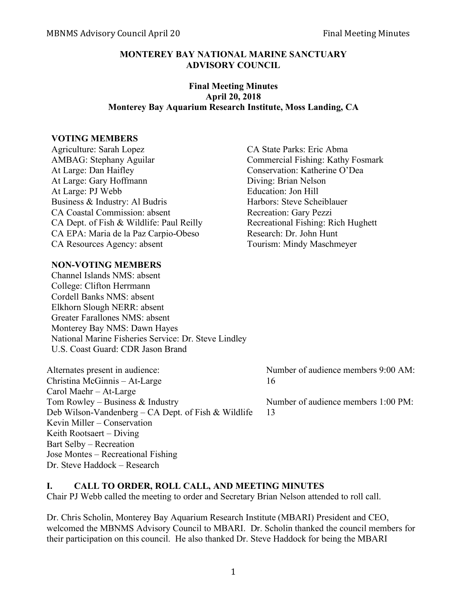### **MONTEREY BAY NATIONAL MARINE SANCTUARY ADVISORY COUNCIL**

### **Final Meeting Minutes April 20, 2018 Monterey Bay Aquarium Research Institute, Moss Landing, CA**

#### **VOTING MEMBERS**

Agriculture: Sarah Lopez CA State Parks: Eric Abma AMBAG: Stephany Aguilar Commercial Fishing: Kathy Fosmark At Large: Dan Haifley Conservation: Katherine O'Dea At Large: Gary Hoffmann Diving: Brian Nelson At Large: PJ Webb Education: Jon Hill Business & Industry: Al Budris Harbors: Steve Scheiblauer CA Coastal Commission: absent Recreation: Gary Pezzi CA Dept. of Fish & Wildlife: Paul Reilly Recreational Fishing: Rich Hughett CA EPA: Maria de la Paz Carpio-Obeso Research: Dr. John Hunt CA Resources Agency: absent Tourism: Mindy Maschmeyer

### **NON-VOTING MEMBERS**

Channel Islands NMS: absent College: Clifton Herrmann Cordell Banks NMS: absent Elkhorn Slough NERR: absent Greater Farallones NMS: absent Monterey Bay NMS: Dawn Hayes National Marine Fisheries Service: Dr. Steve Lindley U.S. Coast Guard: CDR Jason Brand

Alternates present in audience: Number of audience members 9:00 AM: Christina McGinnis – At-Large 16 Carol Maehr – At-Large Tom Rowley – Business & Industry Number of audience members 1:00 PM: Deb Wilson-Vandenberg – CA Dept. of Fish & Wildlife 13 Kevin Miller – Conservation Keith Rootsaert – Diving Bart Selby – Recreation Jose Montes – Recreational Fishing Dr. Steve Haddock – Research

#### **I. CALL TO ORDER, ROLL CALL, AND MEETING MINUTES**

Chair PJ Webb called the meeting to order and Secretary Brian Nelson attended to roll call.

Dr. Chris Scholin, Monterey Bay Aquarium Research Institute (MBARI) President and CEO, welcomed the MBNMS Advisory Council to MBARI. Dr. Scholin thanked the council members for their participation on this council. He also thanked Dr. Steve Haddock for being the MBARI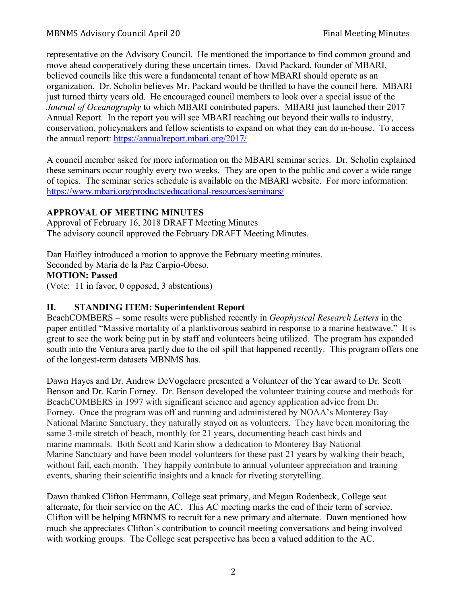representative on the Advisory Council. He mentioned the importance to find common ground and move ahead cooperatively during these uncertain times. David Packard, founder of MBARI, believed councils like this were a fundamental tenant of how MBARI should operate as an organization. Dr. Scholin believes Mr. Packard would be thrilled to have the council here. MBARI just turned thirty years old. He encouraged council members to look over a special issue of the *Journal of Oceanography* to which MBARI contributed papers. MBARI just launched their 2017 Annual Report. In the report you will see MBARI reaching out beyond their walls to industry, conservation, policymakers and fellow scientists to expand on what they can do in-house. To access the annual report: https://annualreport.mbari.org/2017/

A council member asked for more information on the MBARI seminar series. Dr. Scholin explained these seminars occur roughly every two weeks. They are open to the public and cover a wide range of topics. The seminar series schedule is available on the MBARI website. For more information: https://www.mbari.org/products/educational-resources/seminars/

## **APPROVAL OF MEETING MINUTES**

Approval of February 16, 2018 DRAFT Meeting Minutes The advisory council approved the February DRAFT Meeting Minutes.

Dan Haifley introduced a motion to approve the February meeting minutes.

Seconded by Maria de la Paz Carpio-Obeso.

## **MOTION: Passed**

(Vote: 11 in favor, 0 opposed, 3 abstentions)

## **II. STANDING ITEM: Superintendent Report**

BeachCOMBERS – some results were published recently in *Geophysical Research Letters* in the paper entitled "Massive mortality of a planktivorous seabird in response to a marine heatwave." It is great to see the work being put in by staff and volunteers being utilized. The program has expanded south into the Ventura area partly due to the oil spill that happened recently. This program offers one of the longest-term datasets MBNMS has.

Dawn Hayes and Dr. Andrew DeVogelaere presented a Volunteer of the Year award to Dr. Scott Benson and Dr. Karin Forney. Dr. Benson developed the volunteer training course and methods for BeachCOMBERS in 1997 with significant science and agency application advice from Dr. Forney. Once the program was off and running and administered by NOAA's Monterey Bay National Marine Sanctuary, they naturally stayed on as volunteers. They have been monitoring the same 3-mile stretch of beach, monthly for 21 years, documenting beach cast birds and marine mammals. Both Scott and Karin show a dedication to Monterey Bay National Marine Sanctuary and have been model volunteers for these past 21 years by walking their beach, without fail, each month. They happily contribute to annual volunteer appreciation and training events, sharing their scientific insights and a knack for riveting storytelling.

Dawn thanked Clifton Herrmann, College seat primary, and Megan Rodenbeck, College seat alternate, for their service on the AC. This AC meeting marks the end of their term of service. Clifton will be helping MBNMS to recruit for a new primary and alternate. Dawn mentioned how much she appreciates Clifton's contribution to council meeting conversations and being involved with working groups. The College seat perspective has been a valued addition to the AC.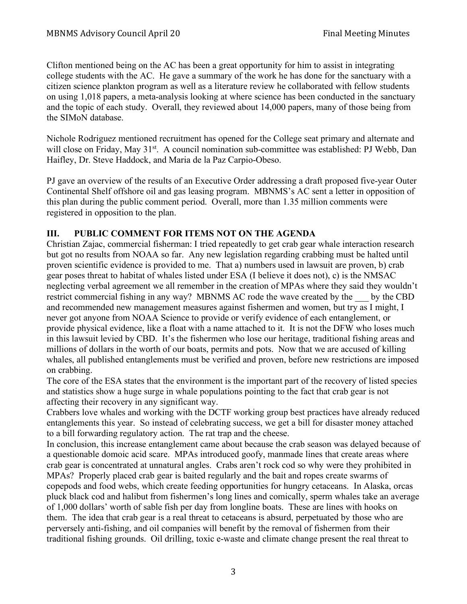Clifton mentioned being on the AC has been a great opportunity for him to assist in integrating college students with the AC. He gave a summary of the work he has done for the sanctuary with a citizen science plankton program as well as a literature review he collaborated with fellow students on using 1,018 papers, a meta-analysis looking at where science has been conducted in the sanctuary and the topic of each study. Overall, they reviewed about 14,000 papers, many of those being from the SIMoN database.

Nichole Rodriguez mentioned recruitment has opened for the College seat primary and alternate and will close on Friday, May 31<sup>st</sup>. A council nomination sub-committee was established: PJ Webb, Dan Haifley, Dr. Steve Haddock, and Maria de la Paz Carpio-Obeso.

PJ gave an overview of the results of an Executive Order addressing a draft proposed five-year Outer Continental Shelf offshore oil and gas leasing program. MBNMS's AC sent a letter in opposition of this plan during the public comment period. Overall, more than 1.35 million comments were registered in opposition to the plan.

## **III. PUBLIC COMMENT FOR ITEMS NOT ON THE AGENDA**

Christian Zajac, commercial fisherman: I tried repeatedly to get crab gear whale interaction research but got no results from NOAA so far. Any new legislation regarding crabbing must be halted until proven scientific evidence is provided to me. That a) numbers used in lawsuit are proven, b) crab gear poses threat to habitat of whales listed under ESA (I believe it does not), c) is the NMSAC neglecting verbal agreement we all remember in the creation of MPAs where they said they wouldn't restrict commercial fishing in any way? MBNMS AC rode the wave created by the by the CBD and recommended new management measures against fishermen and women, but try as I might, I never got anyone from NOAA Science to provide or verify evidence of each entanglement, or provide physical evidence, like a float with a name attached to it. It is not the DFW who loses much in this lawsuit levied by CBD. It's the fishermen who lose our heritage, traditional fishing areas and millions of dollars in the worth of our boats, permits and pots. Now that we are accused of killing whales, all published entanglements must be verified and proven, before new restrictions are imposed on crabbing.

The core of the ESA states that the environment is the important part of the recovery of listed species and statistics show a huge surge in whale populations pointing to the fact that crab gear is not affecting their recovery in any significant way.

Crabbers love whales and working with the DCTF working group best practices have already reduced entanglements this year. So instead of celebrating success, we get a bill for disaster money attached to a bill forwarding regulatory action. The rat trap and the cheese.

In conclusion, this increase entanglement came about because the crab season was delayed because of a questionable domoic acid scare. MPAs introduced goofy, manmade lines that create areas where crab gear is concentrated at unnatural angles. Crabs aren't rock cod so why were they prohibited in MPAs? Properly placed crab gear is baited regularly and the bait and ropes create swarms of copepods and food webs, which create feeding opportunities for hungry cetaceans. In Alaska, orcas pluck black cod and halibut from fishermen's long lines and comically, sperm whales take an average of 1,000 dollars' worth of sable fish per day from longline boats. These are lines with hooks on them. The idea that crab gear is a real threat to cetaceans is absurd, perpetuated by those who are perversely anti-fishing, and oil companies will benefit by the removal of fishermen from their traditional fishing grounds. Oil drilling, toxic e-waste and climate change present the real threat to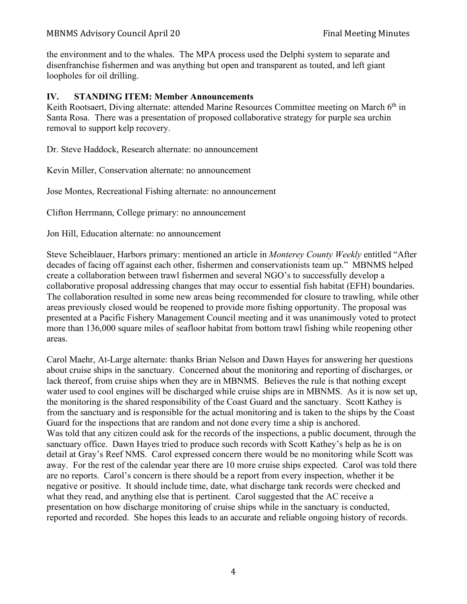the environment and to the whales. The MPA process used the Delphi system to separate and disenfranchise fishermen and was anything but open and transparent as touted, and left giant loopholes for oil drilling.

## **IV. STANDING ITEM: Member Announcements**

Keith Rootsaert, Diving alternate: attended Marine Resources Committee meeting on March 6<sup>th</sup> in Santa Rosa. There was a presentation of proposed collaborative strategy for purple sea urchin removal to support kelp recovery.

Dr. Steve Haddock, Research alternate: no announcement

Kevin Miller, Conservation alternate: no announcement

Jose Montes, Recreational Fishing alternate: no announcement

Clifton Herrmann, College primary: no announcement

Jon Hill, Education alternate: no announcement

Steve Scheiblauer, Harbors primary: mentioned an article in *Monterey County Weekly* entitled "After decades of facing off against each other, fishermen and conservationists team up." MBNMS helped create a collaboration between trawl fishermen and several NGO's to successfully develop a collaborative proposal addressing changes that may occur to essential fish habitat (EFH) boundaries. The collaboration resulted in some new areas being recommended for closure to trawling, while other areas previously closed would be reopened to provide more fishing opportunity. The proposal was presented at a Pacific Fishery Management Council meeting and it was unanimously voted to protect more than 136,000 square miles of seafloor habitat from bottom trawl fishing while reopening other areas.

Carol Maehr, At-Large alternate: thanks Brian Nelson and Dawn Hayes for answering her questions about cruise ships in the sanctuary. Concerned about the monitoring and reporting of discharges, or lack thereof, from cruise ships when they are in MBNMS. Believes the rule is that nothing except water used to cool engines will be discharged while cruise ships are in MBNMS. As it is now set up, the monitoring is the shared responsibility of the Coast Guard and the sanctuary. Scott Kathey is from the sanctuary and is responsible for the actual monitoring and is taken to the ships by the Coast Guard for the inspections that are random and not done every time a ship is anchored. Was told that any citizen could ask for the records of the inspections, a public document, through the sanctuary office. Dawn Hayes tried to produce such records with Scott Kathey's help as he is on detail at Gray's Reef NMS. Carol expressed concern there would be no monitoring while Scott was away. For the rest of the calendar year there are 10 more cruise ships expected. Carol was told there are no reports. Carol's concern is there should be a report from every inspection, whether it be negative or positive. It should include time, date, what discharge tank records were checked and what they read, and anything else that is pertinent. Carol suggested that the AC receive a presentation on how discharge monitoring of cruise ships while in the sanctuary is conducted, reported and recorded. She hopes this leads to an accurate and reliable ongoing history of records.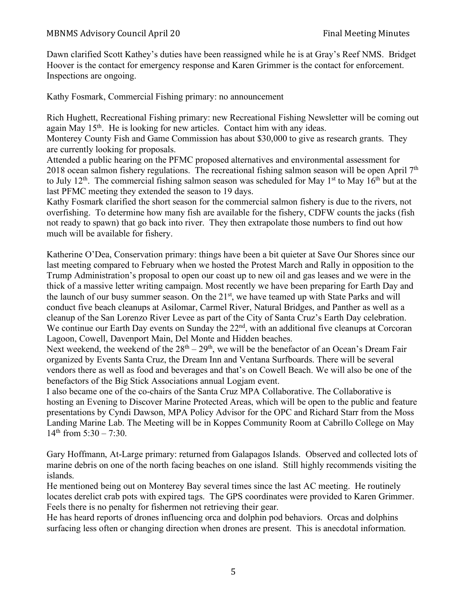Dawn clarified Scott Kathey's duties have been reassigned while he is at Gray's Reef NMS. Bridget Hoover is the contact for emergency response and Karen Grimmer is the contact for enforcement. Inspections are ongoing.

Kathy Fosmark, Commercial Fishing primary: no announcement

Rich Hughett, Recreational Fishing primary: new Recreational Fishing Newsletter will be coming out again May 15th. He is looking for new articles. Contact him with any ideas.

Monterey County Fish and Game Commission has about \$30,000 to give as research grants. They are currently looking for proposals.

Attended a public hearing on the PFMC proposed alternatives and environmental assessment for 2018 ocean salmon fishery regulations. The recreational fishing salmon season will be open April  $7<sup>th</sup>$ to July 12<sup>th</sup>. The commercial fishing salmon season was scheduled for May 1<sup>st</sup> to May 16<sup>th</sup> but at the last PFMC meeting they extended the season to 19 days.

Kathy Fosmark clarified the short season for the commercial salmon fishery is due to the rivers, not overfishing. To determine how many fish are available for the fishery, CDFW counts the jacks (fish not ready to spawn) that go back into river. They then extrapolate those numbers to find out how much will be available for fishery.

Katherine O'Dea, Conservation primary: things have been a bit quieter at Save Our Shores since our last meeting compared to February when we hosted the Protest March and Rally in opposition to the Trump Administration's proposal to open our coast up to new oil and gas leases and we were in the thick of a massive letter writing campaign. Most recently we have been preparing for Earth Day and the launch of our busy summer season. On the 21<sup>st</sup>, we have teamed up with State Parks and will conduct five beach cleanups at Asilomar, Carmel River, Natural Bridges, and Panther as well as a cleanup of the San Lorenzo River Levee as part of the City of Santa Cruz's Earth Day celebration. We continue our Earth Day events on Sunday the 22<sup>nd</sup>, with an additional five cleanups at Corcoran Lagoon, Cowell, Davenport Main, Del Monte and Hidden beaches.

Next weekend, the weekend of the  $28<sup>th</sup> - 29<sup>th</sup>$ , we will be the benefactor of an Ocean's Dream Fair organized by Events Santa Cruz, the Dream Inn and Ventana Surfboards. There will be several vendors there as well as food and beverages and that's on Cowell Beach. We will also be one of the benefactors of the Big Stick Associations annual Logjam event.

I also became one of the co-chairs of the Santa Cruz MPA Collaborative. The Collaborative is hosting an Evening to Discover Marine Protected Areas, which will be open to the public and feature presentations by Cyndi Dawson, MPA Policy Advisor for the OPC and Richard Starr from the Moss Landing Marine Lab. The Meeting will be in Koppes Community Room at Cabrillo College on May 14<sup>th</sup> from 5:30 – 7:30.

Gary Hoffmann, At-Large primary: returned from Galapagos Islands. Observed and collected lots of marine debris on one of the north facing beaches on one island. Still highly recommends visiting the islands.

He mentioned being out on Monterey Bay several times since the last AC meeting. He routinely locates derelict crab pots with expired tags. The GPS coordinates were provided to Karen Grimmer. Feels there is no penalty for fishermen not retrieving their gear.

He has heard reports of drones influencing orca and dolphin pod behaviors. Orcas and dolphins surfacing less often or changing direction when drones are present. This is anecdotal information.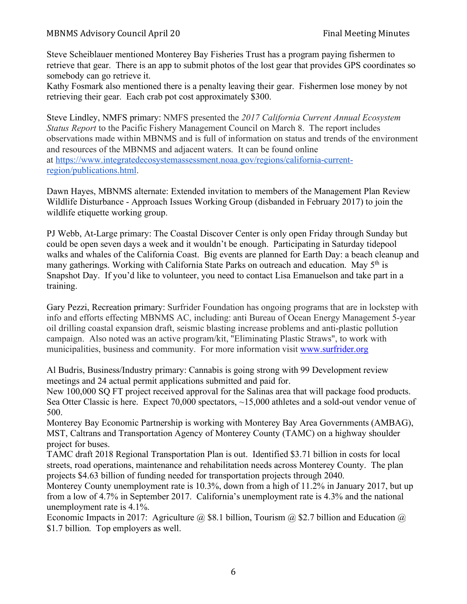Steve Scheiblauer mentioned Monterey Bay Fisheries Trust has a program paying fishermen to retrieve that gear. There is an app to submit photos of the lost gear that provides GPS coordinates so somebody can go retrieve it.

Kathy Fosmark also mentioned there is a penalty leaving their gear. Fishermen lose money by not retrieving their gear. Each crab pot cost approximately \$300.

Steve Lindley, NMFS primary: NMFS presented the *2017 California Current Annual Ecosystem Status Report* to the Pacific Fishery Management Council on March 8. The report includes observations made within MBNMS and is full of information on status and trends of the environment and resources of the MBNMS and adjacent waters. It can be found online at https://www.integratedecosystemassessment.noaa.gov/regions/california-currentregion/publications.html.

Dawn Hayes, MBNMS alternate: Extended invitation to members of the Management Plan Review Wildlife Disturbance - Approach Issues Working Group (disbanded in February 2017) to join the wildlife etiquette working group.

PJ Webb, At-Large primary: The Coastal Discover Center is only open Friday through Sunday but could be open seven days a week and it wouldn't be enough. Participating in Saturday tidepool walks and whales of the California Coast. Big events are planned for Earth Day: a beach cleanup and many gatherings. Working with California State Parks on outreach and education. May 5<sup>th</sup> is Snapshot Day. If you'd like to volunteer, you need to contact Lisa Emanuelson and take part in a training.

Gary Pezzi, Recreation primary: Surfrider Foundation has ongoing programs that are in lockstep with info and efforts effecting MBNMS AC, including: anti Bureau of Ocean Energy Management 5-year oil drilling coastal expansion draft, seismic blasting increase problems and anti-plastic pollution campaign. Also noted was an active program/kit, "Eliminating Plastic Straws", to work with municipalities, business and community. For more information visit www.surfrider.org

Al Budris, Business/Industry primary: Cannabis is going strong with 99 Development review meetings and 24 actual permit applications submitted and paid for.

New 100,000 SQ FT project received approval for the Salinas area that will package food products. Sea Otter Classic is here. Expect 70,000 spectators,  $\sim$ 15,000 athletes and a sold-out vendor venue of 500.

Monterey Bay Economic Partnership is working with Monterey Bay Area Governments (AMBAG), MST, Caltrans and Transportation Agency of Monterey County (TAMC) on a highway shoulder project for buses.

TAMC draft 2018 Regional Transportation Plan is out. Identified \$3.71 billion in costs for local streets, road operations, maintenance and rehabilitation needs across Monterey County. The plan projects \$4.63 billion of funding needed for transportation projects through 2040.

Monterey County unemployment rate is 10.3%, down from a high of 11.2% in January 2017, but up from a low of 4.7% in September 2017. California's unemployment rate is 4.3% and the national unemployment rate is 4.1%.

Economic Impacts in 2017: Agriculture @ \$8.1 billion, Tourism @ \$2.7 billion and Education @ \$1.7 billion. Top employers as well.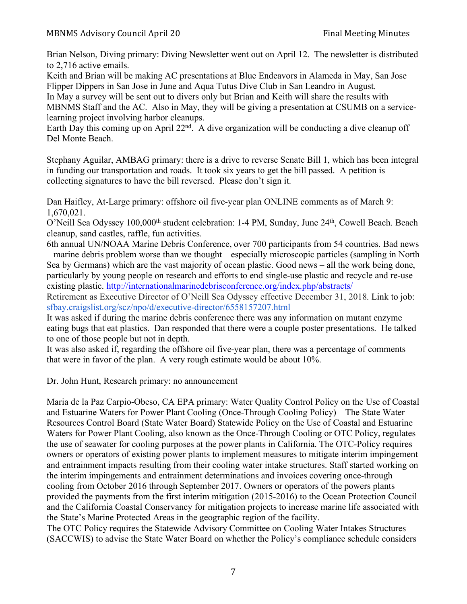Brian Nelson, Diving primary: Diving Newsletter went out on April 12. The newsletter is distributed to 2,716 active emails.

Keith and Brian will be making AC presentations at Blue Endeavors in Alameda in May, San Jose Flipper Dippers in San Jose in June and Aqua Tutus Dive Club in San Leandro in August.

In May a survey will be sent out to divers only but Brian and Keith will share the results with MBNMS Staff and the AC. Also in May, they will be giving a presentation at CSUMB on a servicelearning project involving harbor cleanups.

Earth Day this coming up on April 22<sup>nd</sup>. A dive organization will be conducting a dive cleanup off Del Monte Beach.

Stephany Aguilar, AMBAG primary: there is a drive to reverse Senate Bill 1, which has been integral in funding our transportation and roads. It took six years to get the bill passed. A petition is collecting signatures to have the bill reversed. Please don't sign it.

Dan Haifley, At-Large primary: offshore oil five-year plan ONLINE comments as of March 9: 1,670,021.

O'Neill Sea Odyssey 100,000<sup>th</sup> student celebration: 1-4 PM, Sunday, June 24<sup>th</sup>, Cowell Beach. Beach cleanup, sand castles, raffle, fun activities.

6th annual UN/NOAA Marine Debris Conference, over 700 participants from 54 countries. Bad news – marine debris problem worse than we thought – especially microscopic particles (sampling in North Sea by Germans) which are the vast majority of ocean plastic. Good news – all the work being done, particularly by young people on research and efforts to end single-use plastic and recycle and re-use existing plastic. http://internationalmarinedebrisconference.org/index.php/abstracts/

Retirement as Executive Director of O'Neill Sea Odyssey effective December 31, 2018. Link to job: sfbay.craigslist.org/scz/npo/d/executive-director/6558157207.html

It was asked if during the marine debris conference there was any information on mutant enzyme eating bugs that eat plastics. Dan responded that there were a couple poster presentations. He talked to one of those people but not in depth.

It was also asked if, regarding the offshore oil five-year plan, there was a percentage of comments that were in favor of the plan. A very rough estimate would be about 10%.

Dr. John Hunt, Research primary: no announcement

Maria de la Paz Carpio-Obeso, CA EPA primary: Water Quality Control Policy on the Use of Coastal and Estuarine Waters for Power Plant Cooling (Once-Through Cooling Policy) – The State Water Resources Control Board (State Water Board) Statewide Policy on the Use of Coastal and Estuarine Waters for Power Plant Cooling, also known as the Once-Through Cooling or OTC Policy, regulates the use of seawater for cooling purposes at the power plants in California. The OTC-Policy requires owners or operators of existing power plants to implement measures to mitigate interim impingement and entrainment impacts resulting from their cooling water intake structures. Staff started working on the interim impingements and entrainment determinations and invoices covering once-through cooling from October 2016 through September 2017. Owners or operators of the powers plants provided the payments from the first interim mitigation (2015-2016) to the Ocean Protection Council and the California Coastal Conservancy for mitigation projects to increase marine life associated with the State's Marine Protected Areas in the geographic region of the facility.

The OTC Policy requires the Statewide Advisory Committee on Cooling Water Intakes Structures (SACCWIS) to advise the State Water Board on whether the Policy's compliance schedule considers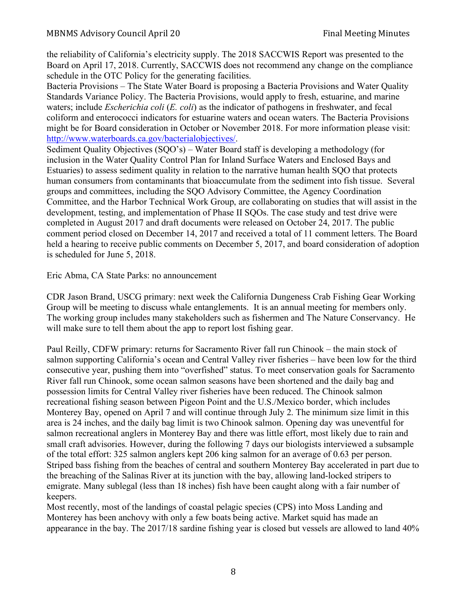the reliability of California's electricity supply. The 2018 SACCWIS Report was presented to the Board on April 17, 2018. Currently, SACCWIS does not recommend any change on the compliance schedule in the OTC Policy for the generating facilities.

Bacteria Provisions – The State Water Board is proposing a Bacteria Provisions and Water Quality Standards Variance Policy. The Bacteria Provisions, would apply to fresh, estuarine, and marine waters; include *Escherichia coli* (*E. coli*) as the indicator of pathogens in freshwater, and fecal coliform and enterococci indicators for estuarine waters and ocean waters. The Bacteria Provisions might be for Board consideration in October or November 2018. For more information please visit: http://www.waterboards.ca.gov/bacterialobjectives/.

Sediment Quality Objectives (SQO's) – Water Board staff is developing a methodology (for inclusion in the Water Quality Control Plan for Inland Surface Waters and Enclosed Bays and Estuaries) to assess sediment quality in relation to the narrative human health SQO that protects human consumers from contaminants that bioaccumulate from the sediment into fish tissue. Several groups and committees, including the SQO Advisory Committee, the Agency Coordination Committee, and the Harbor Technical Work Group, are collaborating on studies that will assist in the development, testing, and implementation of Phase II SQOs. The case study and test drive were completed in August 2017 and draft documents were released on October 24, 2017. The public comment period closed on December 14, 2017 and received a total of 11 comment letters. The Board held a hearing to receive public comments on December 5, 2017, and board consideration of adoption is scheduled for June 5, 2018.

Eric Abma, CA State Parks: no announcement

CDR Jason Brand, USCG primary: next week the California Dungeness Crab Fishing Gear Working Group will be meeting to discuss whale entanglements. It is an annual meeting for members only. The working group includes many stakeholders such as fishermen and The Nature Conservancy. He will make sure to tell them about the app to report lost fishing gear.

Paul Reilly, CDFW primary: returns for Sacramento River fall run Chinook – the main stock of salmon supporting California's ocean and Central Valley river fisheries – have been low for the third consecutive year, pushing them into "overfished" status. To meet conservation goals for Sacramento River fall run Chinook, some ocean salmon seasons have been shortened and the daily bag and possession limits for Central Valley river fisheries have been reduced. The Chinook salmon recreational fishing season between Pigeon Point and the U.S./Mexico border, which includes Monterey Bay, opened on April 7 and will continue through July 2. The minimum size limit in this area is 24 inches, and the daily bag limit is two Chinook salmon. Opening day was uneventful for salmon recreational anglers in Monterey Bay and there was little effort, most likely due to rain and small craft advisories. However, during the following 7 days our biologists interviewed a subsample of the total effort: 325 salmon anglers kept 206 king salmon for an average of 0.63 per person. Striped bass fishing from the beaches of central and southern Monterey Bay accelerated in part due to the breaching of the Salinas River at its junction with the bay, allowing land-locked stripers to emigrate. Many sublegal (less than 18 inches) fish have been caught along with a fair number of keepers.

Most recently, most of the landings of coastal pelagic species (CPS) into Moss Landing and Monterey has been anchovy with only a few boats being active. Market squid has made an appearance in the bay. The 2017/18 sardine fishing year is closed but vessels are allowed to land 40%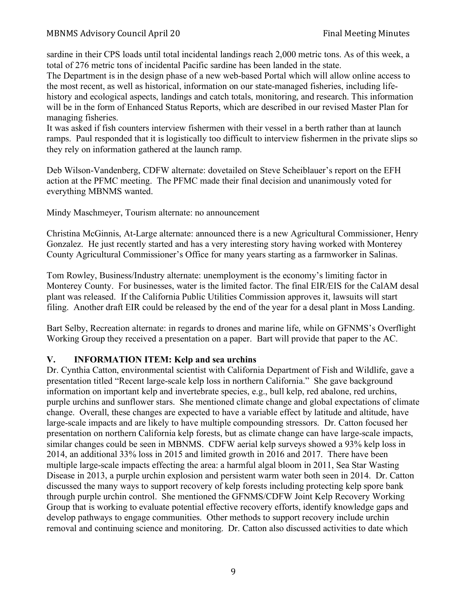### MBNMS Advisory Council April 20 Final Meeting Minutes

sardine in their CPS loads until total incidental landings reach 2,000 metric tons. As of this week, a total of 276 metric tons of incidental Pacific sardine has been landed in the state.

The Department is in the design phase of a new web-based Portal which will allow online access to the most recent, as well as historical, information on our state-managed fisheries, including lifehistory and ecological aspects, landings and catch totals, monitoring, and research. This information will be in the form of Enhanced Status Reports, which are described in our revised Master Plan for managing fisheries.

It was asked if fish counters interview fishermen with their vessel in a berth rather than at launch ramps. Paul responded that it is logistically too difficult to interview fishermen in the private slips so they rely on information gathered at the launch ramp.

Deb Wilson-Vandenberg, CDFW alternate: dovetailed on Steve Scheiblauer's report on the EFH action at the PFMC meeting. The PFMC made their final decision and unanimously voted for everything MBNMS wanted.

Mindy Maschmeyer, Tourism alternate: no announcement

Christina McGinnis, At-Large alternate: announced there is a new Agricultural Commissioner, Henry Gonzalez. He just recently started and has a very interesting story having worked with Monterey County Agricultural Commissioner's Office for many years starting as a farmworker in Salinas.

Tom Rowley, Business/Industry alternate: unemployment is the economy's limiting factor in Monterey County. For businesses, water is the limited factor. The final EIR/EIS for the CalAM desal plant was released. If the California Public Utilities Commission approves it, lawsuits will start filing. Another draft EIR could be released by the end of the year for a desal plant in Moss Landing.

Bart Selby, Recreation alternate: in regards to drones and marine life, while on GFNMS's Overflight Working Group they received a presentation on a paper. Bart will provide that paper to the AC.

### **V. INFORMATION ITEM: Kelp and sea urchins**

Dr. Cynthia Catton, environmental scientist with California Department of Fish and Wildlife, gave a presentation titled "Recent large-scale kelp loss in northern California." She gave background information on important kelp and invertebrate species, e.g., bull kelp, red abalone, red urchins, purple urchins and sunflower stars. She mentioned climate change and global expectations of climate change. Overall, these changes are expected to have a variable effect by latitude and altitude, have large-scale impacts and are likely to have multiple compounding stressors. Dr. Catton focused her presentation on northern California kelp forests, but as climate change can have large-scale impacts, similar changes could be seen in MBNMS. CDFW aerial kelp surveys showed a 93% kelp loss in 2014, an additional 33% loss in 2015 and limited growth in 2016 and 2017. There have been multiple large-scale impacts effecting the area: a harmful algal bloom in 2011, Sea Star Wasting Disease in 2013, a purple urchin explosion and persistent warm water both seen in 2014. Dr. Catton discussed the many ways to support recovery of kelp forests including protecting kelp spore bank through purple urchin control. She mentioned the GFNMS/CDFW Joint Kelp Recovery Working Group that is working to evaluate potential effective recovery efforts, identify knowledge gaps and develop pathways to engage communities. Other methods to support recovery include urchin removal and continuing science and monitoring. Dr. Catton also discussed activities to date which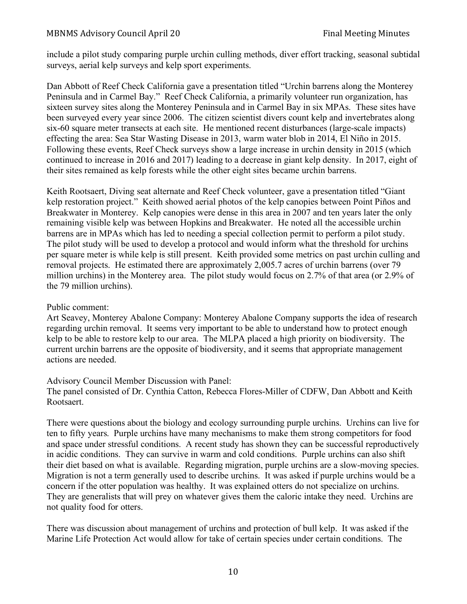### MBNMS Advisory Council April 20 Final Meeting Minutes

include a pilot study comparing purple urchin culling methods, diver effort tracking, seasonal subtidal surveys, aerial kelp surveys and kelp sport experiments.

Dan Abbott of Reef Check California gave a presentation titled "Urchin barrens along the Monterey Peninsula and in Carmel Bay." Reef Check California, a primarily volunteer run organization, has sixteen survey sites along the Monterey Peninsula and in Carmel Bay in six MPAs. These sites have been surveyed every year since 2006. The citizen scientist divers count kelp and invertebrates along six-60 square meter transects at each site. He mentioned recent disturbances (large-scale impacts) effecting the area: Sea Star Wasting Disease in 2013, warm water blob in 2014, El Niño in 2015. Following these events, Reef Check surveys show a large increase in urchin density in 2015 (which continued to increase in 2016 and 2017) leading to a decrease in giant kelp density. In 2017, eight of their sites remained as kelp forests while the other eight sites became urchin barrens.

Keith Rootsaert, Diving seat alternate and Reef Check volunteer, gave a presentation titled "Giant kelp restoration project." Keith showed aerial photos of the kelp canopies between Point Piños and Breakwater in Monterey. Kelp canopies were dense in this area in 2007 and ten years later the only remaining visible kelp was between Hopkins and Breakwater. He noted all the accessible urchin barrens are in MPAs which has led to needing a special collection permit to perform a pilot study. The pilot study will be used to develop a protocol and would inform what the threshold for urchins per square meter is while kelp is still present. Keith provided some metrics on past urchin culling and removal projects. He estimated there are approximately 2,005.7 acres of urchin barrens (over 79 million urchins) in the Monterey area. The pilot study would focus on 2.7% of that area (or 2.9% of the 79 million urchins).

Public comment:

Art Seavey, Monterey Abalone Company: Monterey Abalone Company supports the idea of research regarding urchin removal. It seems very important to be able to understand how to protect enough kelp to be able to restore kelp to our area. The MLPA placed a high priority on biodiversity. The current urchin barrens are the opposite of biodiversity, and it seems that appropriate management actions are needed.

Advisory Council Member Discussion with Panel:

The panel consisted of Dr. Cynthia Catton, Rebecca Flores-Miller of CDFW, Dan Abbott and Keith Rootsaert.

There were questions about the biology and ecology surrounding purple urchins. Urchins can live for ten to fifty years. Purple urchins have many mechanisms to make them strong competitors for food and space under stressful conditions. A recent study has shown they can be successful reproductively in acidic conditions. They can survive in warm and cold conditions. Purple urchins can also shift their diet based on what is available. Regarding migration, purple urchins are a slow-moving species. Migration is not a term generally used to describe urchins. It was asked if purple urchins would be a concern if the otter population was healthy. It was explained otters do not specialize on urchins. They are generalists that will prey on whatever gives them the caloric intake they need. Urchins are not quality food for otters.

There was discussion about management of urchins and protection of bull kelp. It was asked if the Marine Life Protection Act would allow for take of certain species under certain conditions. The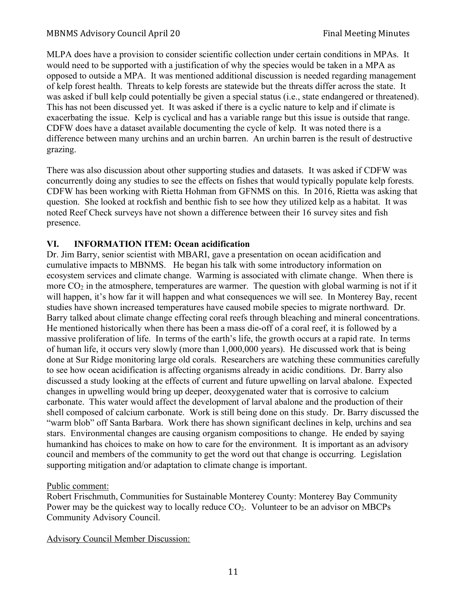MLPA does have a provision to consider scientific collection under certain conditions in MPAs. It would need to be supported with a justification of why the species would be taken in a MPA as opposed to outside a MPA. It was mentioned additional discussion is needed regarding management of kelp forest health. Threats to kelp forests are statewide but the threats differ across the state. It was asked if bull kelp could potentially be given a special status (i.e., state endangered or threatened). This has not been discussed yet. It was asked if there is a cyclic nature to kelp and if climate is exacerbating the issue. Kelp is cyclical and has a variable range but this issue is outside that range. CDFW does have a dataset available documenting the cycle of kelp. It was noted there is a difference between many urchins and an urchin barren. An urchin barren is the result of destructive grazing.

There was also discussion about other supporting studies and datasets. It was asked if CDFW was concurrently doing any studies to see the effects on fishes that would typically populate kelp forests. CDFW has been working with Rietta Hohman from GFNMS on this. In 2016, Rietta was asking that question. She looked at rockfish and benthic fish to see how they utilized kelp as a habitat. It was noted Reef Check surveys have not shown a difference between their 16 survey sites and fish presence.

# **VI. INFORMATION ITEM: Ocean acidification**

Dr. Jim Barry, senior scientist with MBARI, gave a presentation on ocean acidification and cumulative impacts to MBNMS. He began his talk with some introductory information on ecosystem services and climate change. Warming is associated with climate change. When there is more  $CO<sub>2</sub>$  in the atmosphere, temperatures are warmer. The question with global warming is not if it will happen, it's how far it will happen and what consequences we will see. In Monterey Bay, recent studies have shown increased temperatures have caused mobile species to migrate northward. Dr. Barry talked about climate change effecting coral reefs through bleaching and mineral concentrations. He mentioned historically when there has been a mass die-off of a coral reef, it is followed by a massive proliferation of life. In terms of the earth's life, the growth occurs at a rapid rate. In terms of human life, it occurs very slowly (more than 1,000,000 years). He discussed work that is being done at Sur Ridge monitoring large old corals. Researchers are watching these communities carefully to see how ocean acidification is affecting organisms already in acidic conditions. Dr. Barry also discussed a study looking at the effects of current and future upwelling on larval abalone. Expected changes in upwelling would bring up deeper, deoxygenated water that is corrosive to calcium carbonate. This water would affect the development of larval abalone and the production of their shell composed of calcium carbonate. Work is still being done on this study. Dr. Barry discussed the "warm blob" off Santa Barbara. Work there has shown significant declines in kelp, urchins and sea stars. Environmental changes are causing organism compositions to change. He ended by saying humankind has choices to make on how to care for the environment. It is important as an advisory council and members of the community to get the word out that change is occurring. Legislation supporting mitigation and/or adaptation to climate change is important.

## Public comment:

Robert Frischmuth, Communities for Sustainable Monterey County: Monterey Bay Community Power may be the quickest way to locally reduce  $CO<sub>2</sub>$ . Volunteer to be an advisor on MBCPs Community Advisory Council.

# Advisory Council Member Discussion: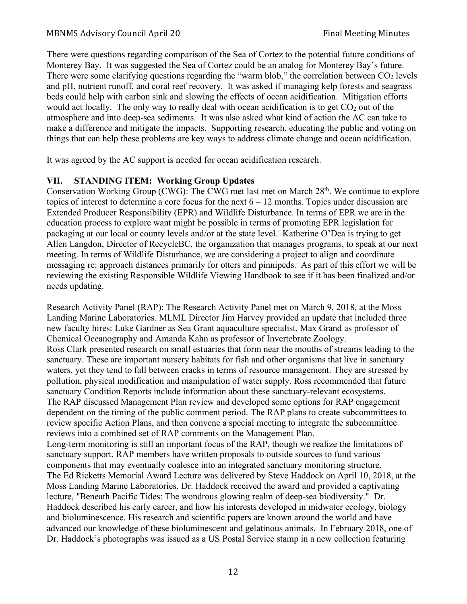There were questions regarding comparison of the Sea of Cortez to the potential future conditions of Monterey Bay. It was suggested the Sea of Cortez could be an analog for Monterey Bay's future. There were some clarifying questions regarding the "warm blob," the correlation between  $CO<sub>2</sub>$  levels and pH, nutrient runoff, and coral reef recovery. It was asked if managing kelp forests and seagrass beds could help with carbon sink and slowing the effects of ocean acidification. Mitigation efforts would act locally. The only way to really deal with ocean acidification is to get  $CO<sub>2</sub>$  out of the atmosphere and into deep-sea sediments. It was also asked what kind of action the AC can take to make a difference and mitigate the impacts. Supporting research, educating the public and voting on things that can help these problems are key ways to address climate change and ocean acidification.

It was agreed by the AC support is needed for ocean acidification research.

## **VII. STANDING ITEM: Working Group Updates**

Conservation Working Group (CWG): The CWG met last met on March 28<sup>th</sup>. We continue to explore topics of interest to determine a core focus for the next  $6 - 12$  months. Topics under discussion are Extended Producer Responsibility (EPR) and Wildlife Disturbance. In terms of EPR we are in the education process to explore want might be possible in terms of promoting EPR legislation for packaging at our local or county levels and/or at the state level. Katherine O'Dea is trying to get Allen Langdon, Director of RecycleBC, the organization that manages programs, to speak at our next meeting. In terms of Wildlife Disturbance, we are considering a project to align and coordinate messaging re: approach distances primarily for otters and pinnipeds. As part of this effort we will be reviewing the existing Responsible Wildlife Viewing Handbook to see if it has been finalized and/or needs updating.

Research Activity Panel (RAP): The Research Activity Panel met on March 9, 2018, at the Moss Landing Marine Laboratories. MLML Director Jim Harvey provided an update that included three new faculty hires: Luke Gardner as Sea Grant aquaculture specialist, Max Grand as professor of Chemical Oceanography and Amanda Kahn as professor of Invertebrate Zoology. Ross Clark presented research on small estuaries that form near the mouths of streams leading to the sanctuary. These are important nursery habitats for fish and other organisms that live in sanctuary waters, yet they tend to fall between cracks in terms of resource management. They are stressed by pollution, physical modification and manipulation of water supply. Ross recommended that future sanctuary Condition Reports include information about these sanctuary-relevant ecosystems. The RAP discussed Management Plan review and developed some options for RAP engagement dependent on the timing of the public comment period. The RAP plans to create subcommittees to review specific Action Plans, and then convene a special meeting to integrate the subcommittee reviews into a combined set of RAP comments on the Management Plan. Long-term monitoring is still an important focus of the RAP, though we realize the limitations of sanctuary support. RAP members have written proposals to outside sources to fund various components that may eventually coalesce into an integrated sanctuary monitoring structure. The Ed Ricketts Memorial Award Lecture was delivered by Steve Haddock on April 10, 2018, at the Moss Landing Marine Laboratories. Dr. Haddock received the award and provided a captivating lecture, "Beneath Pacific Tides: The wondrous glowing realm of deep-sea biodiversity." Dr. Haddock described his early career, and how his interests developed in midwater ecology, biology and bioluminescence. His research and scientific papers are known around the world and have advanced our knowledge of these bioluminescent and gelatinous animals. In February 2018, one of Dr. Haddock's photographs was issued as a US Postal Service stamp in a new collection featuring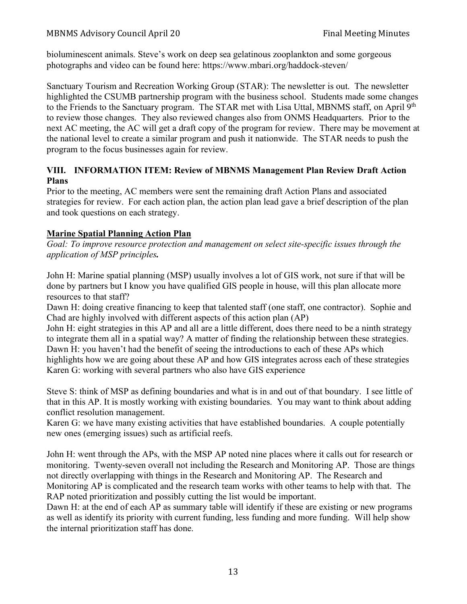bioluminescent animals. Steve's work on deep sea gelatinous zooplankton and some gorgeous photographs and video can be found here: https://www.mbari.org/haddock-steven/

Sanctuary Tourism and Recreation Working Group (STAR): The newsletter is out. The newsletter highlighted the CSUMB partnership program with the business school. Students made some changes to the Friends to the Sanctuary program. The STAR met with Lisa Uttal, MBNMS staff, on April 9<sup>th</sup> to review those changes. They also reviewed changes also from ONMS Headquarters. Prior to the next AC meeting, the AC will get a draft copy of the program for review. There may be movement at the national level to create a similar program and push it nationwide. The STAR needs to push the program to the focus businesses again for review.

## **VIII. INFORMATION ITEM: Review of MBNMS Management Plan Review Draft Action Plans**

Prior to the meeting, AC members were sent the remaining draft Action Plans and associated strategies for review. For each action plan, the action plan lead gave a brief description of the plan and took questions on each strategy.

## **Marine Spatial Planning Action Plan**

*Goal: To improve resource protection and management on select site-specific issues through the application of MSP principles.*

John H: Marine spatial planning (MSP) usually involves a lot of GIS work, not sure if that will be done by partners but I know you have qualified GIS people in house, will this plan allocate more resources to that staff?

Dawn H: doing creative financing to keep that talented staff (one staff, one contractor). Sophie and Chad are highly involved with different aspects of this action plan (AP)

John H: eight strategies in this AP and all are a little different, does there need to be a ninth strategy to integrate them all in a spatial way? A matter of finding the relationship between these strategies. Dawn H: you haven't had the benefit of seeing the introductions to each of these APs which highlights how we are going about these AP and how GIS integrates across each of these strategies Karen G: working with several partners who also have GIS experience

Steve S: think of MSP as defining boundaries and what is in and out of that boundary. I see little of that in this AP. It is mostly working with existing boundaries. You may want to think about adding conflict resolution management.

Karen G: we have many existing activities that have established boundaries. A couple potentially new ones (emerging issues) such as artificial reefs.

John H: went through the APs, with the MSP AP noted nine places where it calls out for research or monitoring. Twenty-seven overall not including the Research and Monitoring AP. Those are things not directly overlapping with things in the Research and Monitoring AP. The Research and

Monitoring AP is complicated and the research team works with other teams to help with that. The RAP noted prioritization and possibly cutting the list would be important.

Dawn H: at the end of each AP as summary table will identify if these are existing or new programs as well as identify its priority with current funding, less funding and more funding. Will help show the internal prioritization staff has done.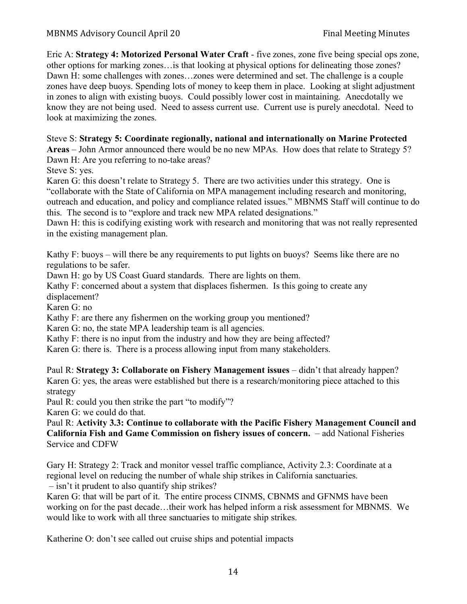Eric A: **Strategy 4: Motorized Personal Water Craft** - five zones, zone five being special ops zone, other options for marking zones…is that looking at physical options for delineating those zones? Dawn H: some challenges with zones…zones were determined and set. The challenge is a couple zones have deep buoys. Spending lots of money to keep them in place. Looking at slight adjustment in zones to align with existing buoys. Could possibly lower cost in maintaining. Anecdotally we know they are not being used. Need to assess current use. Current use is purely anecdotal. Need to look at maximizing the zones.

Steve S: **Strategy 5: Coordinate regionally, national and internationally on Marine Protected** 

**Areas** – John Armor announced there would be no new MPAs. How does that relate to Strategy 5? Dawn H: Are you referring to no-take areas?

Steve S: yes.

Karen G: this doesn't relate to Strategy 5. There are two activities under this strategy. One is "collaborate with the State of California on MPA management including research and monitoring, outreach and education, and policy and compliance related issues." MBNMS Staff will continue to do this. The second is to "explore and track new MPA related designations."

Dawn H: this is codifying existing work with research and monitoring that was not really represented in the existing management plan.

Kathy F: buoys – will there be any requirements to put lights on buoys? Seems like there are no regulations to be safer.

Dawn H: go by US Coast Guard standards. There are lights on them.

Kathy F: concerned about a system that displaces fishermen. Is this going to create any displacement?

Karen G: no

Kathy F: are there any fishermen on the working group you mentioned?

Karen G: no, the state MPA leadership team is all agencies.

Kathy F: there is no input from the industry and how they are being affected?

Karen G: there is. There is a process allowing input from many stakeholders.

Paul R: **Strategy 3: Collaborate on Fishery Management issues** – didn't that already happen? Karen G: yes, the areas were established but there is a research/monitoring piece attached to this strategy

Paul R: could you then strike the part "to modify"?

Karen G: we could do that.

Paul R: **Activity 3.3: Continue to collaborate with the Pacific Fishery Management Council and California Fish and Game Commission on fishery issues of concern.** – add National Fisheries Service and CDFW

Gary H: Strategy 2: Track and monitor vessel traffic compliance, Activity 2.3: Coordinate at a regional level on reducing the number of whale ship strikes in California sanctuaries.

– isn't it prudent to also quantify ship strikes? Karen G: that will be part of it. The entire process CINMS, CBNMS and GFNMS have been working on for the past decade…their work has helped inform a risk assessment for MBNMS. We would like to work with all three sanctuaries to mitigate ship strikes.

Katherine O: don't see called out cruise ships and potential impacts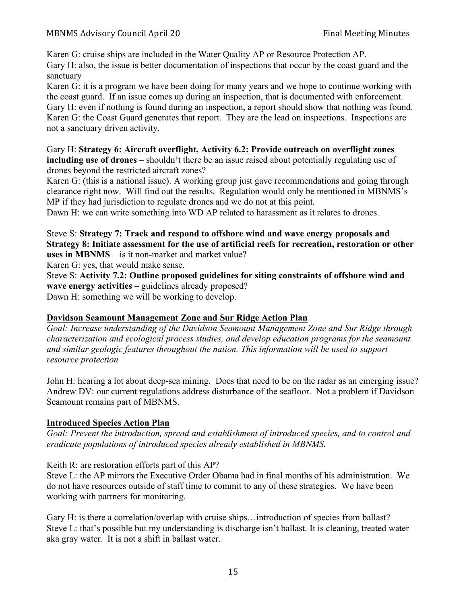### MBNMS Advisory Council April 20 Final Meeting Minutes

Karen G: cruise ships are included in the Water Quality AP or Resource Protection AP. Gary H: also, the issue is better documentation of inspections that occur by the coast guard and the sanctuary

Karen G: it is a program we have been doing for many years and we hope to continue working with the coast guard. If an issue comes up during an inspection, that is documented with enforcement. Gary H: even if nothing is found during an inspection, a report should show that nothing was found. Karen G: the Coast Guard generates that report. They are the lead on inspections. Inspections are not a sanctuary driven activity.

Gary H: **Strategy 6: Aircraft overflight, Activity 6.2: Provide outreach on overflight zones including use of drones** – shouldn't there be an issue raised about potentially regulating use of drones beyond the restricted aircraft zones?

Karen G: (this is a national issue). A working group just gave recommendations and going through clearance right now. Will find out the results. Regulation would only be mentioned in MBNMS's MP if they had jurisdiction to regulate drones and we do not at this point.

Dawn H: we can write something into WD AP related to harassment as it relates to drones.

Steve S: **Strategy 7: Track and respond to offshore wind and wave energy proposals and Strategy 8: Initiate assessment for the use of artificial reefs for recreation, restoration or other uses in MBNMS** – is it non-market and market value?

Karen G: yes, that would make sense.

Steve S: **Activity 7.2: Outline proposed guidelines for siting constraints of offshore wind and wave energy activities** – guidelines already proposed?

Dawn H: something we will be working to develop.

### **Davidson Seamount Management Zone and Sur Ridge Action Plan**

*Goal: Increase understanding of the Davidson Seamount Management Zone and Sur Ridge through characterization and ecological process studies, and develop education programs for the seamount and similar geologic features throughout the nation. This information will be used to support resource protection*

John H: hearing a lot about deep-sea mining. Does that need to be on the radar as an emerging issue? Andrew DV: our current regulations address disturbance of the seafloor. Not a problem if Davidson Seamount remains part of MBNMS.

### **Introduced Species Action Plan**

*Goal: Prevent the introduction, spread and establishment of introduced species, and to control and eradicate populations of introduced species already established in MBNMS.*

Keith R: are restoration efforts part of this AP?

Steve L: the AP mirrors the Executive Order Obama had in final months of his administration. We do not have resources outside of staff time to commit to any of these strategies. We have been working with partners for monitoring.

Gary H: is there a correlation/overlap with cruise ships...introduction of species from ballast? Steve L: that's possible but my understanding is discharge isn't ballast. It is cleaning, treated water aka gray water. It is not a shift in ballast water.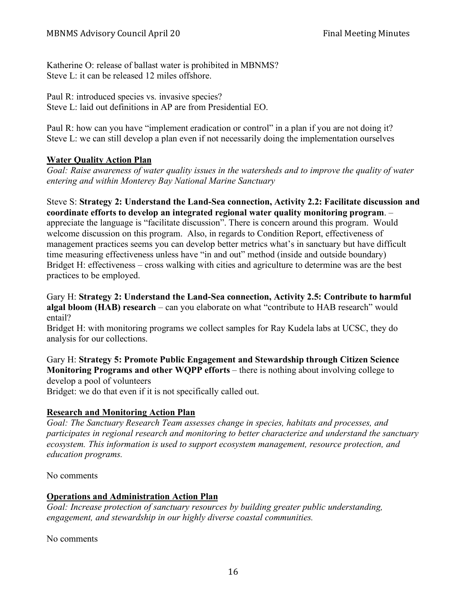Katherine O: release of ballast water is prohibited in MBNMS? Steve L: it can be released 12 miles offshore.

Paul R: introduced species vs. invasive species? Steve L: laid out definitions in AP are from Presidential EO.

Paul R: how can you have "implement eradication or control" in a plan if you are not doing it? Steve L: we can still develop a plan even if not necessarily doing the implementation ourselves

## **Water Quality Action Plan**

*Goal: Raise awareness of water quality issues in the watersheds and to improve the quality of water entering and within Monterey Bay National Marine Sanctuary*

Steve S: **Strategy 2: Understand the Land-Sea connection, Activity 2.2: Facilitate discussion and coordinate efforts to develop an integrated regional water quality monitoring program**. – appreciate the language is "facilitate discussion". There is concern around this program. Would welcome discussion on this program. Also, in regards to Condition Report, effectiveness of management practices seems you can develop better metrics what's in sanctuary but have difficult time measuring effectiveness unless have "in and out" method (inside and outside boundary) Bridget H: effectiveness – cross walking with cities and agriculture to determine was are the best practices to be employed.

Gary H: **Strategy 2: Understand the Land-Sea connection, Activity 2.5: Contribute to harmful algal bloom (HAB) research** – can you elaborate on what "contribute to HAB research" would entail?

Bridget H: with monitoring programs we collect samples for Ray Kudela labs at UCSC, they do analysis for our collections.

Gary H: **Strategy 5: Promote Public Engagement and Stewardship through Citizen Science Monitoring Programs and other WQPP efforts** – there is nothing about involving college to develop a pool of volunteers

Bridget: we do that even if it is not specifically called out.

### **Research and Monitoring Action Plan**

*Goal: The Sanctuary Research Team assesses change in species, habitats and processes, and participates in regional research and monitoring to better characterize and understand the sanctuary ecosystem. This information is used to support ecosystem management, resource protection, and education programs.*

No comments

### **Operations and Administration Action Plan**

*Goal: Increase protection of sanctuary resources by building greater public understanding, engagement, and stewardship in our highly diverse coastal communities.*

No comments